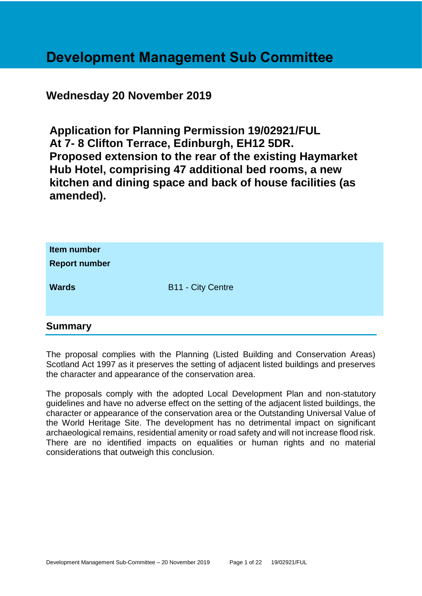## **Development Management Sub Committee**

## **Wednesday 20 November 2019**

**Application for Planning Permission 19/02921/FUL At 7- 8 Clifton Terrace, Edinburgh, EH12 5DR. Proposed extension to the rear of the existing Haymarket Hub Hotel, comprising 47 additional bed rooms, a new kitchen and dining space and back of house facilities (as amended).**

| Item number<br><b>Report number</b> |                          |
|-------------------------------------|--------------------------|
| <b>Wards</b>                        | <b>B11 - City Centre</b> |

## **Summary**

The proposal complies with the Planning (Listed Building and Conservation Areas) Scotland Act 1997 as it preserves the setting of adjacent listed buildings and preserves the character and appearance of the conservation area.

The proposals comply with the adopted Local Development Plan and non-statutory guidelines and have no adverse effect on the setting of the adjacent listed buildings, the character or appearance of the conservation area or the Outstanding Universal Value of the World Heritage Site. The development has no detrimental impact on significant archaeological remains, residential amenity or road safety and will not increase flood risk. There are no identified impacts on equalities or human rights and no material considerations that outweigh this conclusion.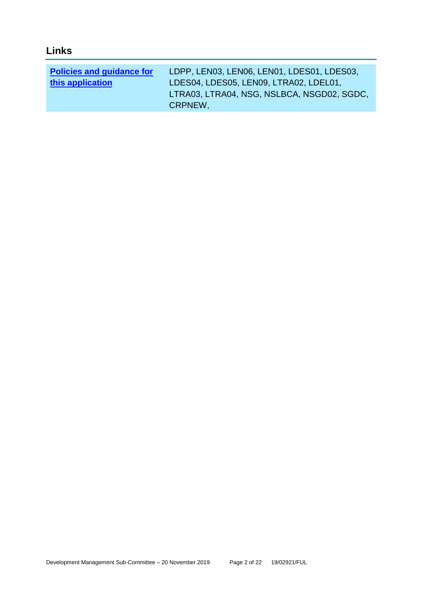| 40 D |  |
|------|--|
|      |  |

| <b>Policies and guidance for</b> | LDPP, LEN03, LEN06, LEN01, LDES01, LDES03, |
|----------------------------------|--------------------------------------------|
| this application                 | LDES04, LDES05, LEN09, LTRA02, LDEL01,     |
|                                  | LTRA03, LTRA04, NSG, NSLBCA, NSGD02, SGDC, |
|                                  | CRPNEW,                                    |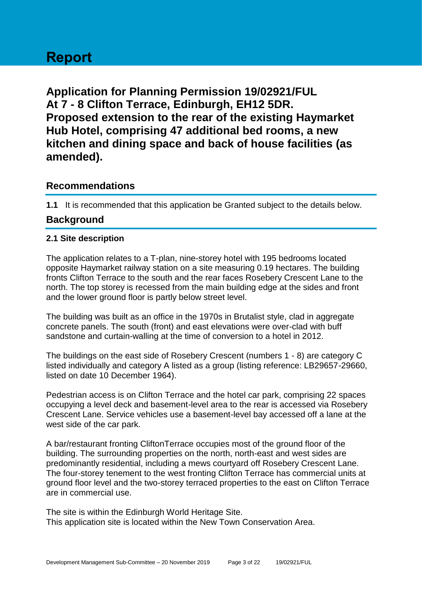# **Report**

**Application for Planning Permission 19/02921/FUL At 7 - 8 Clifton Terrace, Edinburgh, EH12 5DR. Proposed extension to the rear of the existing Haymarket Hub Hotel, comprising 47 additional bed rooms, a new kitchen and dining space and back of house facilities (as amended).**

## **Recommendations**

**1.1** It is recommended that this application be Granted subject to the details below.

## **Background**

#### **2.1 Site description**

The application relates to a T-plan, nine-storey hotel with 195 bedrooms located opposite Haymarket railway station on a site measuring 0.19 hectares. The building fronts Clifton Terrace to the south and the rear faces Rosebery Crescent Lane to the north. The top storey is recessed from the main building edge at the sides and front and the lower ground floor is partly below street level.

The building was built as an office in the 1970s in Brutalist style, clad in aggregate concrete panels. The south (front) and east elevations were over-clad with buff sandstone and curtain-walling at the time of conversion to a hotel in 2012.

The buildings on the east side of Rosebery Crescent (numbers 1 - 8) are category C listed individually and category A listed as a group (listing reference: LB29657-29660, listed on date 10 December 1964).

Pedestrian access is on Clifton Terrace and the hotel car park, comprising 22 spaces occupying a level deck and basement-level area to the rear is accessed via Rosebery Crescent Lane. Service vehicles use a basement-level bay accessed off a lane at the west side of the car park.

A bar/restaurant fronting CliftonTerrace occupies most of the ground floor of the building. The surrounding properties on the north, north-east and west sides are predominantly residential, including a mews courtyard off Rosebery Crescent Lane. The four-storey tenement to the west fronting Clifton Terrace has commercial units at ground floor level and the two-storey terraced properties to the east on Clifton Terrace are in commercial use.

The site is within the Edinburgh World Heritage Site. This application site is located within the New Town Conservation Area.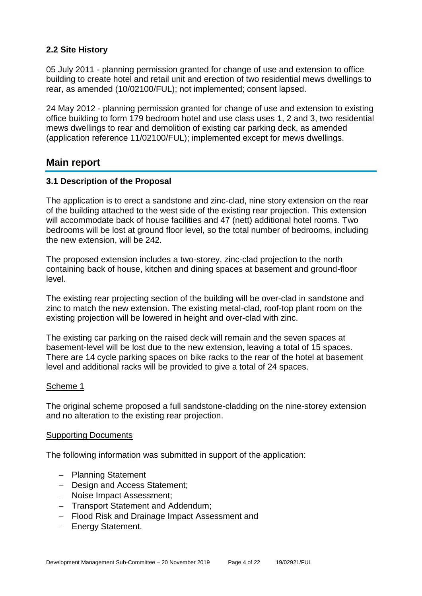## **2.2 Site History**

05 July 2011 - planning permission granted for change of use and extension to office building to create hotel and retail unit and erection of two residential mews dwellings to rear, as amended (10/02100/FUL); not implemented; consent lapsed.

24 May 2012 - planning permission granted for change of use and extension to existing office building to form 179 bedroom hotel and use class uses 1, 2 and 3, two residential mews dwellings to rear and demolition of existing car parking deck, as amended (application reference 11/02100/FUL); implemented except for mews dwellings.

## **Main report**

#### **3.1 Description of the Proposal**

The application is to erect a sandstone and zinc-clad, nine story extension on the rear of the building attached to the west side of the existing rear projection. This extension will accommodate back of house facilities and 47 (nett) additional hotel rooms. Two bedrooms will be lost at ground floor level, so the total number of bedrooms, including the new extension, will be 242.

The proposed extension includes a two-storey, zinc-clad projection to the north containing back of house, kitchen and dining spaces at basement and ground-floor level.

The existing rear projecting section of the building will be over-clad in sandstone and zinc to match the new extension. The existing metal-clad, roof-top plant room on the existing projection will be lowered in height and over-clad with zinc.

The existing car parking on the raised deck will remain and the seven spaces at basement-level will be lost due to the new extension, leaving a total of 15 spaces. There are 14 cycle parking spaces on bike racks to the rear of the hotel at basement level and additional racks will be provided to give a total of 24 spaces.

#### Scheme 1

The original scheme proposed a full sandstone-cladding on the nine-storey extension and no alteration to the existing rear projection.

#### Supporting Documents

The following information was submitted in support of the application:

- − Planning Statement
- − Design and Access Statement;
- − Noise Impact Assessment;
- − Transport Statement and Addendum;
- − Flood Risk and Drainage Impact Assessment and
- − Energy Statement.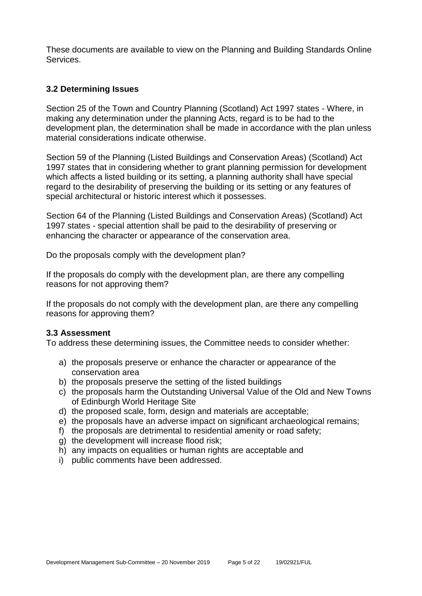These documents are available to view on the Planning and Building Standards Online Services.

#### **3.2 Determining Issues**

Section 25 of the Town and Country Planning (Scotland) Act 1997 states - Where, in making any determination under the planning Acts, regard is to be had to the development plan, the determination shall be made in accordance with the plan unless material considerations indicate otherwise.

Section 59 of the Planning (Listed Buildings and Conservation Areas) (Scotland) Act 1997 states that in considering whether to grant planning permission for development which affects a listed building or its setting, a planning authority shall have special regard to the desirability of preserving the building or its setting or any features of special architectural or historic interest which it possesses.

Section 64 of the Planning (Listed Buildings and Conservation Areas) (Scotland) Act 1997 states - special attention shall be paid to the desirability of preserving or enhancing the character or appearance of the conservation area.

Do the proposals comply with the development plan?

If the proposals do comply with the development plan, are there any compelling reasons for not approving them?

If the proposals do not comply with the development plan, are there any compelling reasons for approving them?

#### **3.3 Assessment**

To address these determining issues, the Committee needs to consider whether:

- a) the proposals preserve or enhance the character or appearance of the conservation area
- b) the proposals preserve the setting of the listed buildings
- c) the proposals harm the Outstanding Universal Value of the Old and New Towns of Edinburgh World Heritage Site
- d) the proposed scale, form, design and materials are acceptable;
- e) the proposals have an adverse impact on significant archaeological remains;
- f) the proposals are detrimental to residential amenity or road safety;
- g) the development will increase flood risk;
- h) any impacts on equalities or human rights are acceptable and
- i) public comments have been addressed.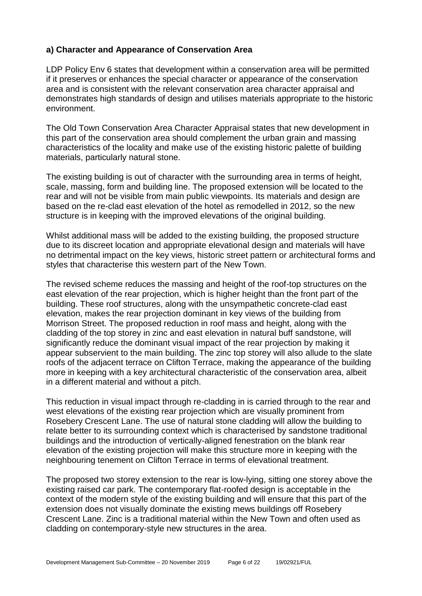#### **a) Character and Appearance of Conservation Area**

LDP Policy Env 6 states that development within a conservation area will be permitted if it preserves or enhances the special character or appearance of the conservation area and is consistent with the relevant conservation area character appraisal and demonstrates high standards of design and utilises materials appropriate to the historic environment.

The Old Town Conservation Area Character Appraisal states that new development in this part of the conservation area should complement the urban grain and massing characteristics of the locality and make use of the existing historic palette of building materials, particularly natural stone.

The existing building is out of character with the surrounding area in terms of height, scale, massing, form and building line. The proposed extension will be located to the rear and will not be visible from main public viewpoints. Its materials and design are based on the re-clad east elevation of the hotel as remodelled in 2012, so the new structure is in keeping with the improved elevations of the original building.

Whilst additional mass will be added to the existing building, the proposed structure due to its discreet location and appropriate elevational design and materials will have no detrimental impact on the key views, historic street pattern or architectural forms and styles that characterise this western part of the New Town.

The revised scheme reduces the massing and height of the roof-top structures on the east elevation of the rear projection, which is higher height than the front part of the building. These roof structures, along with the unsympathetic concrete-clad east elevation, makes the rear projection dominant in key views of the building from Morrison Street. The proposed reduction in roof mass and height, along with the cladding of the top storey in zinc and east elevation in natural buff sandstone, will significantly reduce the dominant visual impact of the rear projection by making it appear subservient to the main building. The zinc top storey will also allude to the slate roofs of the adjacent terrace on Clifton Terrace, making the appearance of the building more in keeping with a key architectural characteristic of the conservation area, albeit in a different material and without a pitch.

This reduction in visual impact through re-cladding in is carried through to the rear and west elevations of the existing rear projection which are visually prominent from Rosebery Crescent Lane. The use of natural stone cladding will allow the building to relate better to its surrounding context which is characterised by sandstone traditional buildings and the introduction of vertically-aligned fenestration on the blank rear elevation of the existing projection will make this structure more in keeping with the neighbouring tenement on Clifton Terrace in terms of elevational treatment.

The proposed two storey extension to the rear is low-lying, sitting one storey above the existing raised car park. The contemporary flat-roofed design is acceptable in the context of the modern style of the existing building and will ensure that this part of the extension does not visually dominate the existing mews buildings off Rosebery Crescent Lane. Zinc is a traditional material within the New Town and often used as cladding on contemporary-style new structures in the area.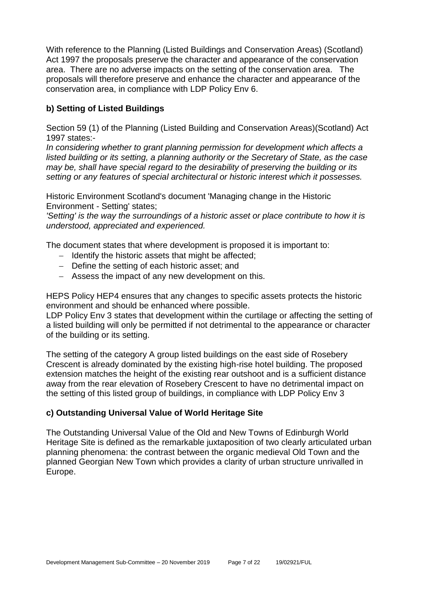With reference to the Planning (Listed Buildings and Conservation Areas) (Scotland) Act 1997 the proposals preserve the character and appearance of the conservation area. There are no adverse impacts on the setting of the conservation area. The proposals will therefore preserve and enhance the character and appearance of the conservation area, in compliance with LDP Policy Env 6.

## **b) Setting of Listed Buildings**

Section 59 (1) of the Planning (Listed Building and Conservation Areas)(Scotland) Act 1997 states:-

*In considering whether to grant planning permission for development which affects a listed building or its setting, a planning authority or the Secretary of State, as the case may be, shall have special regard to the desirability of preserving the building or its setting or any features of special architectural or historic interest which it possesses.*

Historic Environment Scotland's document 'Managing change in the Historic Environment - Setting' states;

*'Setting' is the way the surroundings of a historic asset or place contribute to how it is understood, appreciated and experienced.*

The document states that where development is proposed it is important to:

- − Identify the historic assets that might be affected;
- − Define the setting of each historic asset; and
- − Assess the impact of any new development on this.

HEPS Policy HEP4 ensures that any changes to specific assets protects the historic environment and should be enhanced where possible.

LDP Policy Env 3 states that development within the curtilage or affecting the setting of a listed building will only be permitted if not detrimental to the appearance or character of the building or its setting.

The setting of the category A group listed buildings on the east side of Rosebery Crescent is already dominated by the existing high-rise hotel building. The proposed extension matches the height of the existing rear outshoot and is a sufficient distance away from the rear elevation of Rosebery Crescent to have no detrimental impact on the setting of this listed group of buildings, in compliance with LDP Policy Env 3

#### **c) Outstanding Universal Value of World Heritage Site**

The Outstanding Universal Value of the Old and New Towns of Edinburgh World Heritage Site is defined as the remarkable juxtaposition of two clearly articulated urban planning phenomena: the contrast between the organic medieval Old Town and the planned Georgian New Town which provides a clarity of urban structure unrivalled in Europe.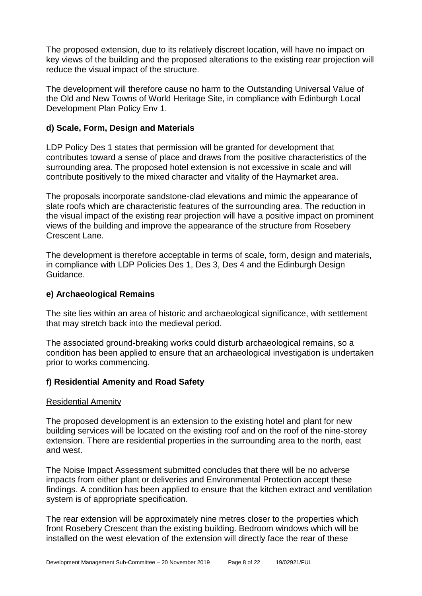The proposed extension, due to its relatively discreet location, will have no impact on key views of the building and the proposed alterations to the existing rear projection will reduce the visual impact of the structure.

The development will therefore cause no harm to the Outstanding Universal Value of the Old and New Towns of World Heritage Site, in compliance with Edinburgh Local Development Plan Policy Env 1.

#### **d) Scale, Form, Design and Materials**

LDP Policy Des 1 states that permission will be granted for development that contributes toward a sense of place and draws from the positive characteristics of the surrounding area. The proposed hotel extension is not excessive in scale and will contribute positively to the mixed character and vitality of the Haymarket area.

The proposals incorporate sandstone-clad elevations and mimic the appearance of slate roofs which are characteristic features of the surrounding area. The reduction in the visual impact of the existing rear projection will have a positive impact on prominent views of the building and improve the appearance of the structure from Rosebery Crescent Lane.

The development is therefore acceptable in terms of scale, form, design and materials, in compliance with LDP Policies Des 1, Des 3, Des 4 and the Edinburgh Design Guidance.

#### **e) Archaeological Remains**

The site lies within an area of historic and archaeological significance, with settlement that may stretch back into the medieval period.

The associated ground-breaking works could disturb archaeological remains, so a condition has been applied to ensure that an archaeological investigation is undertaken prior to works commencing.

#### **f) Residential Amenity and Road Safety**

#### Residential Amenity

The proposed development is an extension to the existing hotel and plant for new building services will be located on the existing roof and on the roof of the nine-storey extension. There are residential properties in the surrounding area to the north, east and west.

The Noise Impact Assessment submitted concludes that there will be no adverse impacts from either plant or deliveries and Environmental Protection accept these findings. A condition has been applied to ensure that the kitchen extract and ventilation system is of appropriate specification.

The rear extension will be approximately nine metres closer to the properties which front Rosebery Crescent than the existing building. Bedroom windows which will be installed on the west elevation of the extension will directly face the rear of these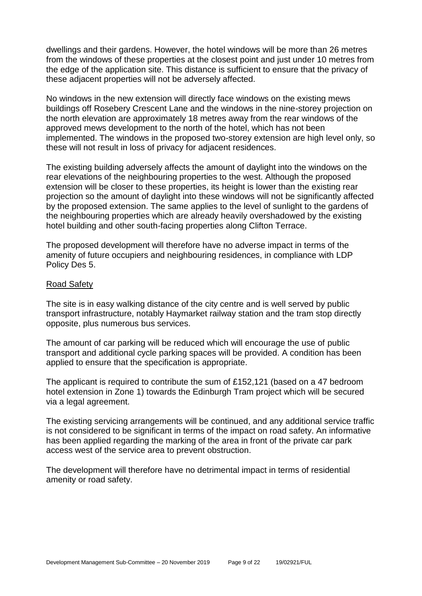dwellings and their gardens. However, the hotel windows will be more than 26 metres from the windows of these properties at the closest point and just under 10 metres from the edge of the application site. This distance is sufficient to ensure that the privacy of these adjacent properties will not be adversely affected.

No windows in the new extension will directly face windows on the existing mews buildings off Rosebery Crescent Lane and the windows in the nine-storey projection on the north elevation are approximately 18 metres away from the rear windows of the approved mews development to the north of the hotel, which has not been implemented. The windows in the proposed two-storey extension are high level only, so these will not result in loss of privacy for adjacent residences.

The existing building adversely affects the amount of daylight into the windows on the rear elevations of the neighbouring properties to the west. Although the proposed extension will be closer to these properties, its height is lower than the existing rear projection so the amount of daylight into these windows will not be significantly affected by the proposed extension. The same applies to the level of sunlight to the gardens of the neighbouring properties which are already heavily overshadowed by the existing hotel building and other south-facing properties along Clifton Terrace.

The proposed development will therefore have no adverse impact in terms of the amenity of future occupiers and neighbouring residences, in compliance with LDP Policy Des 5.

#### Road Safety

The site is in easy walking distance of the city centre and is well served by public transport infrastructure, notably Haymarket railway station and the tram stop directly opposite, plus numerous bus services.

The amount of car parking will be reduced which will encourage the use of public transport and additional cycle parking spaces will be provided. A condition has been applied to ensure that the specification is appropriate.

The applicant is required to contribute the sum of £152,121 (based on a 47 bedroom hotel extension in Zone 1) towards the Edinburgh Tram project which will be secured via a legal agreement.

The existing servicing arrangements will be continued, and any additional service traffic is not considered to be significant in terms of the impact on road safety. An informative has been applied regarding the marking of the area in front of the private car park access west of the service area to prevent obstruction.

The development will therefore have no detrimental impact in terms of residential amenity or road safety.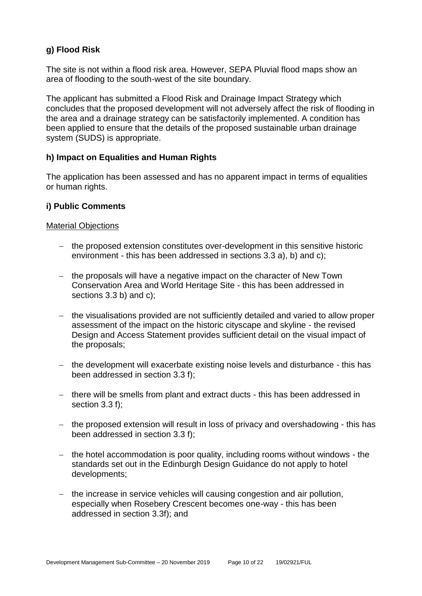## **g) Flood Risk**

The site is not within a flood risk area. However, SEPA Pluvial flood maps show an area of flooding to the south-west of the site boundary.

The applicant has submitted a Flood Risk and Drainage Impact Strategy which concludes that the proposed development will not adversely affect the risk of flooding in the area and a drainage strategy can be satisfactorily implemented. A condition has been applied to ensure that the details of the proposed sustainable urban drainage system (SUDS) is appropriate.

## **h) Impact on Equalities and Human Rights**

The application has been assessed and has no apparent impact in terms of equalities or human rights.

#### **i) Public Comments**

#### Material Objections

- − the proposed extension constitutes over-development in this sensitive historic environment - this has been addressed in sections 3.3 a), b) and c);
- − the proposals will have a negative impact on the character of New Town Conservation Area and World Heritage Site - this has been addressed in sections 3.3 b) and c);
- − the visualisations provided are not sufficiently detailed and varied to allow proper assessment of the impact on the historic cityscape and skyline - the revised Design and Access Statement provides sufficient detail on the visual impact of the proposals;
- − the development will exacerbate existing noise levels and disturbance this has been addressed in section 3.3 f);
- − there will be smells from plant and extract ducts this has been addressed in section 3.3 f);
- − the proposed extension will result in loss of privacy and overshadowing this has been addressed in section 3.3 f);
- − the hotel accommodation is poor quality, including rooms without windows the standards set out in the Edinburgh Design Guidance do not apply to hotel developments;
- − the increase in service vehicles will causing congestion and air pollution, especially when Rosebery Crescent becomes one-way - this has been addressed in section 3.3f); and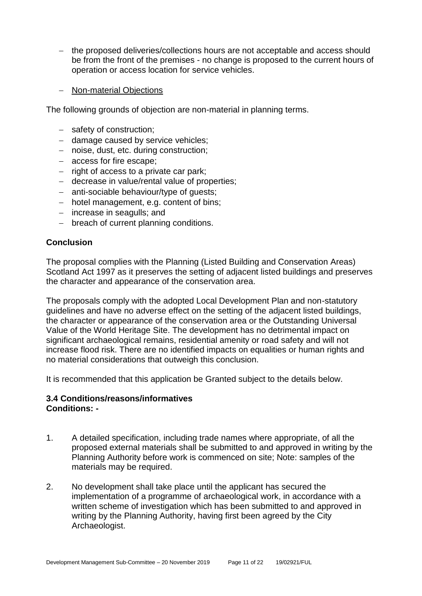- − the proposed deliveries/collections hours are not acceptable and access should be from the front of the premises - no change is proposed to the current hours of operation or access location for service vehicles.
- − Non-material Objections

The following grounds of objection are non-material in planning terms.

- − safety of construction;
- − damage caused by service vehicles;
- − noise, dust, etc. during construction;
- − access for fire escape;
- − right of access to a private car park;
- − decrease in value/rental value of properties;
- − anti-sociable behaviour/type of guests;
- − hotel management, e.g. content of bins;
- − increase in seagulls; and
- − breach of current planning conditions.

#### **Conclusion**

The proposal complies with the Planning (Listed Building and Conservation Areas) Scotland Act 1997 as it preserves the setting of adjacent listed buildings and preserves the character and appearance of the conservation area.

The proposals comply with the adopted Local Development Plan and non-statutory guidelines and have no adverse effect on the setting of the adjacent listed buildings, the character or appearance of the conservation area or the Outstanding Universal Value of the World Heritage Site. The development has no detrimental impact on significant archaeological remains, residential amenity or road safety and will not increase flood risk. There are no identified impacts on equalities or human rights and no material considerations that outweigh this conclusion.

It is recommended that this application be Granted subject to the details below.

#### **3.4 Conditions/reasons/informatives Conditions: -**

- 1. A detailed specification, including trade names where appropriate, of all the proposed external materials shall be submitted to and approved in writing by the Planning Authority before work is commenced on site; Note: samples of the materials may be required.
- 2. No development shall take place until the applicant has secured the implementation of a programme of archaeological work, in accordance with a written scheme of investigation which has been submitted to and approved in writing by the Planning Authority, having first been agreed by the City Archaeologist.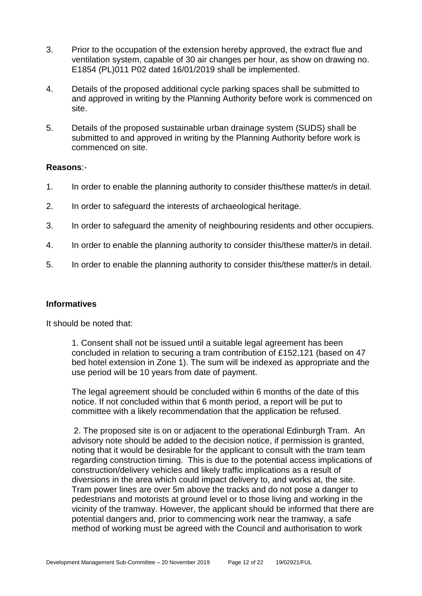- 3. Prior to the occupation of the extension hereby approved, the extract flue and ventilation system, capable of 30 air changes per hour, as show on drawing no. E1854 (PL)011 P02 dated 16/01/2019 shall be implemented.
- 4. Details of the proposed additional cycle parking spaces shall be submitted to and approved in writing by the Planning Authority before work is commenced on site.
- 5. Details of the proposed sustainable urban drainage system (SUDS) shall be submitted to and approved in writing by the Planning Authority before work is commenced on site.

#### **Reasons**:-

- 1. In order to enable the planning authority to consider this/these matter/s in detail.
- 2. In order to safeguard the interests of archaeological heritage.
- 3. In order to safeguard the amenity of neighbouring residents and other occupiers.
- 4. In order to enable the planning authority to consider this/these matter/s in detail.
- 5. In order to enable the planning authority to consider this/these matter/s in detail.

#### **Informatives**

It should be noted that:

1. Consent shall not be issued until a suitable legal agreement has been concluded in relation to securing a tram contribution of £152,121 (based on 47 bed hotel extension in Zone 1). The sum will be indexed as appropriate and the use period will be 10 years from date of payment.

The legal agreement should be concluded within 6 months of the date of this notice. If not concluded within that 6 month period, a report will be put to committee with a likely recommendation that the application be refused.

2. The proposed site is on or adjacent to the operational Edinburgh Tram. An advisory note should be added to the decision notice, if permission is granted, noting that it would be desirable for the applicant to consult with the tram team regarding construction timing. This is due to the potential access implications of construction/delivery vehicles and likely traffic implications as a result of diversions in the area which could impact delivery to, and works at, the site. Tram power lines are over 5m above the tracks and do not pose a danger to pedestrians and motorists at ground level or to those living and working in the vicinity of the tramway. However, the applicant should be informed that there are potential dangers and, prior to commencing work near the tramway, a safe method of working must be agreed with the Council and authorisation to work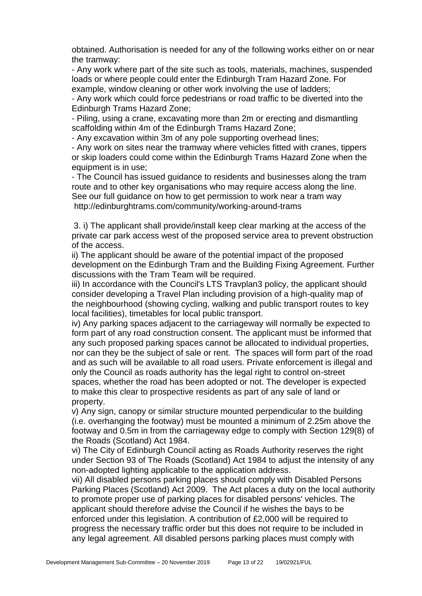obtained. Authorisation is needed for any of the following works either on or near the tramway:

- Any work where part of the site such as tools, materials, machines, suspended loads or where people could enter the Edinburgh Tram Hazard Zone. For example, window cleaning or other work involving the use of ladders;

- Any work which could force pedestrians or road traffic to be diverted into the Edinburgh Trams Hazard Zone;

- Piling, using a crane, excavating more than 2m or erecting and dismantling scaffolding within 4m of the Edinburgh Trams Hazard Zone:

- Any excavation within 3m of any pole supporting overhead lines;

- Any work on sites near the tramway where vehicles fitted with cranes, tippers or skip loaders could come within the Edinburgh Trams Hazard Zone when the equipment is in use;

- The Council has issued guidance to residents and businesses along the tram route and to other key organisations who may require access along the line. See our full guidance on how to get permission to work near a tram way http://edinburghtrams.com/community/working-around-trams

3. i) The applicant shall provide/install keep clear marking at the access of the private car park access west of the proposed service area to prevent obstruction of the access.

ii) The applicant should be aware of the potential impact of the proposed development on the Edinburgh Tram and the Building Fixing Agreement. Further discussions with the Tram Team will be required.

iii) In accordance with the Council's LTS Travplan3 policy, the applicant should consider developing a Travel Plan including provision of a high-quality map of the neighbourhood (showing cycling, walking and public transport routes to key local facilities), timetables for local public transport.

iv) Any parking spaces adjacent to the carriageway will normally be expected to form part of any road construction consent. The applicant must be informed that any such proposed parking spaces cannot be allocated to individual properties, nor can they be the subject of sale or rent. The spaces will form part of the road and as such will be available to all road users. Private enforcement is illegal and only the Council as roads authority has the legal right to control on-street spaces, whether the road has been adopted or not. The developer is expected to make this clear to prospective residents as part of any sale of land or property.

v) Any sign, canopy or similar structure mounted perpendicular to the building (i.e. overhanging the footway) must be mounted a minimum of 2.25m above the footway and 0.5m in from the carriageway edge to comply with Section 129(8) of the Roads (Scotland) Act 1984.

vi) The City of Edinburgh Council acting as Roads Authority reserves the right under Section 93 of The Roads (Scotland) Act 1984 to adjust the intensity of any non-adopted lighting applicable to the application address.

vii) All disabled persons parking places should comply with Disabled Persons Parking Places (Scotland) Act 2009. The Act places a duty on the local authority to promote proper use of parking places for disabled persons' vehicles. The applicant should therefore advise the Council if he wishes the bays to be enforced under this legislation. A contribution of £2,000 will be required to progress the necessary traffic order but this does not require to be included in any legal agreement. All disabled persons parking places must comply with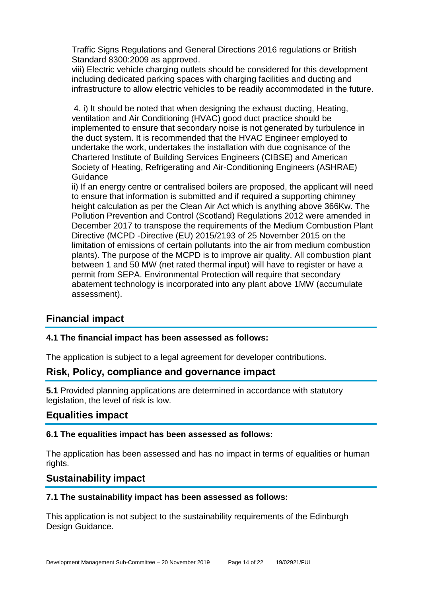Traffic Signs Regulations and General Directions 2016 regulations or British Standard 8300:2009 as approved.

viii) Electric vehicle charging outlets should be considered for this development including dedicated parking spaces with charging facilities and ducting and infrastructure to allow electric vehicles to be readily accommodated in the future.

4. i) It should be noted that when designing the exhaust ducting, Heating, ventilation and Air Conditioning (HVAC) good duct practice should be implemented to ensure that secondary noise is not generated by turbulence in the duct system. It is recommended that the HVAC Engineer employed to undertake the work, undertakes the installation with due cognisance of the Chartered Institute of Building Services Engineers (CIBSE) and American Society of Heating, Refrigerating and Air-Conditioning Engineers (ASHRAE) Guidance

ii) If an energy centre or centralised boilers are proposed, the applicant will need to ensure that information is submitted and if required a supporting chimney height calculation as per the Clean Air Act which is anything above 366Kw. The Pollution Prevention and Control (Scotland) Regulations 2012 were amended in December 2017 to transpose the requirements of the Medium Combustion Plant Directive (MCPD -Directive (EU) 2015/2193 of 25 November 2015 on the limitation of emissions of certain pollutants into the air from medium combustion plants). The purpose of the MCPD is to improve air quality. All combustion plant between 1 and 50 MW (net rated thermal input) will have to register or have a permit from SEPA. Environmental Protection will require that secondary abatement technology is incorporated into any plant above 1MW (accumulate assessment).

## **Financial impact**

## **4.1 The financial impact has been assessed as follows:**

The application is subject to a legal agreement for developer contributions.

## **Risk, Policy, compliance and governance impact**

**5.1** Provided planning applications are determined in accordance with statutory legislation, the level of risk is low.

## **Equalities impact**

#### **6.1 The equalities impact has been assessed as follows:**

The application has been assessed and has no impact in terms of equalities or human rights.

## **Sustainability impact**

#### **7.1 The sustainability impact has been assessed as follows:**

This application is not subject to the sustainability requirements of the Edinburgh Design Guidance.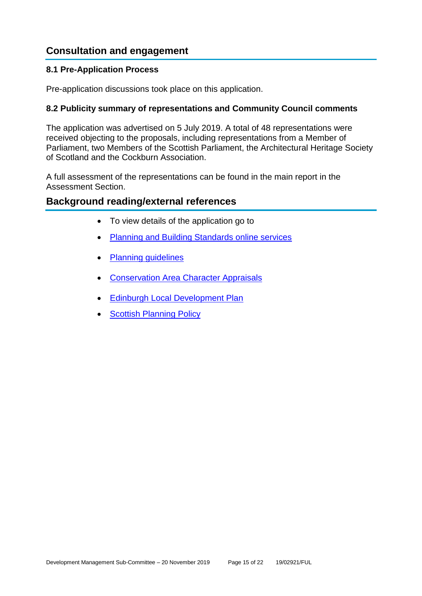## **Consultation and engagement**

#### **8.1 Pre-Application Process**

Pre-application discussions took place on this application.

#### **8.2 Publicity summary of representations and Community Council comments**

The application was advertised on 5 July 2019. A total of 48 representations were received objecting to the proposals, including representations from a Member of Parliament, two Members of the Scottish Parliament, the Architectural Heritage Society of Scotland and the Cockburn Association.

A full assessment of the representations can be found in the main report in the Assessment Section.

## **Background reading/external references**

- To view details of the application go to
- [Planning and Building Standards online services](https://citydev-portal.edinburgh.gov.uk/idoxpa-web/search.do?action=simple&searchType=Application)
- [Planning guidelines](http://www.edinburgh.gov.uk/planningguidelines)
- [Conservation Area Character Appraisals](http://www.edinburgh.gov.uk/characterappraisals)
- [Edinburgh Local Development Plan](http://www.edinburgh.gov.uk/localdevelopmentplan)
- **[Scottish Planning Policy](http://www.scotland.gov.uk/Topics/Built-Environment/planning/Policy)**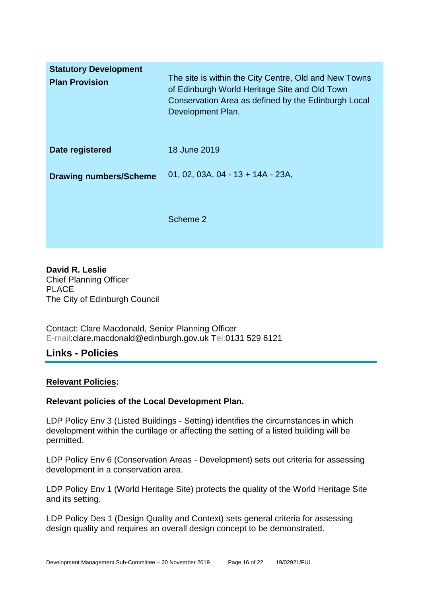| <b>Statutory Development</b><br><b>Plan Provision</b> | The site is within the City Centre, Old and New Towns<br>of Edinburgh World Heritage Site and Old Town<br>Conservation Area as defined by the Edinburgh Local<br>Development Plan. |
|-------------------------------------------------------|------------------------------------------------------------------------------------------------------------------------------------------------------------------------------------|
| Date registered                                       | 18 June 2019                                                                                                                                                                       |
| <b>Drawing numbers/Scheme</b>                         | 01, 02, 03A, 04 - 13 + 14A - 23A,                                                                                                                                                  |
|                                                       | Scheme 2                                                                                                                                                                           |

**David R. Leslie** Chief Planning Officer PLACE The City of Edinburgh Council

Contact: Clare Macdonald, Senior Planning Officer E-mail:clare.macdonald@edinburgh.gov.uk Tel:0131 529 6121

## **Links - Policies**

#### **Relevant Policies:**

#### **Relevant policies of the Local Development Plan.**

LDP Policy Env 3 (Listed Buildings - Setting) identifies the circumstances in which development within the curtilage or affecting the setting of a listed building will be permitted.

LDP Policy Env 6 (Conservation Areas - Development) sets out criteria for assessing development in a conservation area.

LDP Policy Env 1 (World Heritage Site) protects the quality of the World Heritage Site and its setting.

LDP Policy Des 1 (Design Quality and Context) sets general criteria for assessing design quality and requires an overall design concept to be demonstrated.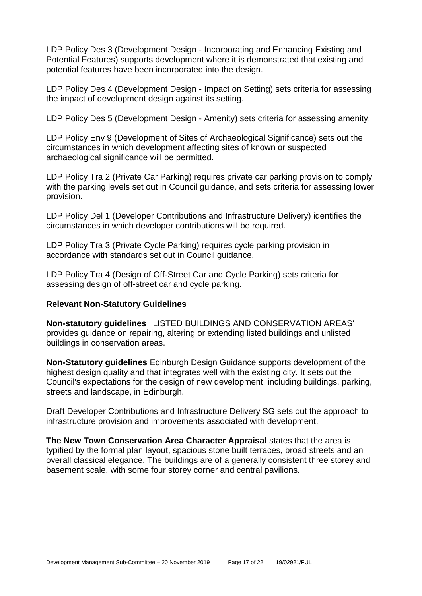LDP Policy Des 3 (Development Design - Incorporating and Enhancing Existing and Potential Features) supports development where it is demonstrated that existing and potential features have been incorporated into the design.

LDP Policy Des 4 (Development Design - Impact on Setting) sets criteria for assessing the impact of development design against its setting.

LDP Policy Des 5 (Development Design - Amenity) sets criteria for assessing amenity.

LDP Policy Env 9 (Development of Sites of Archaeological Significance) sets out the circumstances in which development affecting sites of known or suspected archaeological significance will be permitted.

LDP Policy Tra 2 (Private Car Parking) requires private car parking provision to comply with the parking levels set out in Council guidance, and sets criteria for assessing lower provision.

LDP Policy Del 1 (Developer Contributions and Infrastructure Delivery) identifies the circumstances in which developer contributions will be required.

LDP Policy Tra 3 (Private Cycle Parking) requires cycle parking provision in accordance with standards set out in Council guidance.

LDP Policy Tra 4 (Design of Off-Street Car and Cycle Parking) sets criteria for assessing design of off-street car and cycle parking.

#### **Relevant Non-Statutory Guidelines**

**Non-statutory guidelines** 'LISTED BUILDINGS AND CONSERVATION AREAS' provides guidance on repairing, altering or extending listed buildings and unlisted buildings in conservation areas.

**Non-Statutory guidelines** Edinburgh Design Guidance supports development of the highest design quality and that integrates well with the existing city. It sets out the Council's expectations for the design of new development, including buildings, parking, streets and landscape, in Edinburgh.

Draft Developer Contributions and Infrastructure Delivery SG sets out the approach to infrastructure provision and improvements associated with development.

**The New Town Conservation Area Character Appraisal** states that the area is typified by the formal plan layout, spacious stone built terraces, broad streets and an overall classical elegance. The buildings are of a generally consistent three storey and basement scale, with some four storey corner and central pavilions.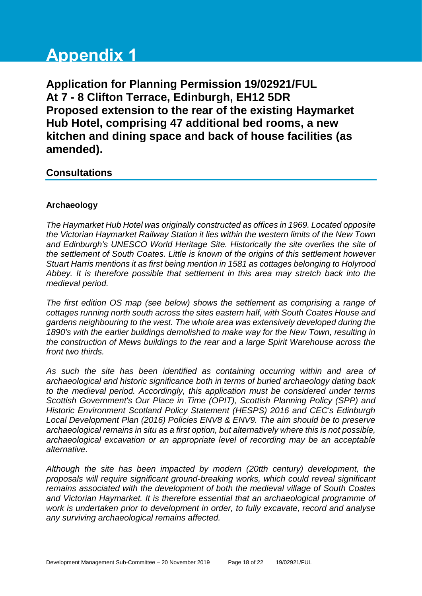# **Appendix 1**

**Application for Planning Permission 19/02921/FUL At 7 - 8 Clifton Terrace, Edinburgh, EH12 5DR Proposed extension to the rear of the existing Haymarket Hub Hotel, comprising 47 additional bed rooms, a new kitchen and dining space and back of house facilities (as amended).**

## **Consultations**

#### **Archaeology**

*The Haymarket Hub Hotel was originally constructed as offices in 1969. Located opposite the Victorian Haymarket Railway Station it lies within the western limits of the New Town and Edinburgh's UNESCO World Heritage Site. Historically the site overlies the site of the settlement of South Coates. Little is known of the origins of this settlement however Stuart Harris mentions it as first being mention in 1581 as cottages belonging to Holyrood Abbey. It is therefore possible that settlement in this area may stretch back into the medieval period.* 

*The first edition OS map (see below) shows the settlement as comprising a range of cottages running north south across the sites eastern half, with South Coates House and gardens neighbouring to the west. The whole area was extensively developed during the 1890's with the earlier buildings demolished to make way for the New Town, resulting in the construction of Mews buildings to the rear and a large Spirit Warehouse across the front two thirds.*

*As such the site has been identified as containing occurring within and area of archaeological and historic significance both in terms of buried archaeology dating back to the medieval period. Accordingly, this application must be considered under terms Scottish Government's Our Place in Time (OPIT), Scottish Planning Policy (SPP) and Historic Environment Scotland Policy Statement (HESPS) 2016 and CEC's Edinburgh Local Development Plan (2016) Policies ENV8 & ENV9. The aim should be to preserve archaeological remains in situ as a first option, but alternatively where this is not possible, archaeological excavation or an appropriate level of recording may be an acceptable alternative.*

*Although the site has been impacted by modern (20tth century) development, the proposals will require significant ground-breaking works, which could reveal significant remains associated with the development of both the medieval village of South Coates and Victorian Haymarket. It is therefore essential that an archaeological programme of work is undertaken prior to development in order, to fully excavate, record and analyse any surviving archaeological remains affected.*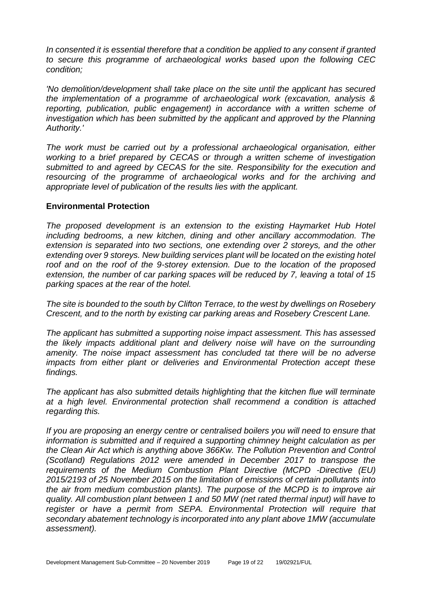*In consented it is essential therefore that a condition be applied to any consent if granted to secure this programme of archaeological works based upon the following CEC condition;*

*'No demolition/development shall take place on the site until the applicant has secured the implementation of a programme of archaeological work (excavation, analysis & reporting, publication, public engagement) in accordance with a written scheme of investigation which has been submitted by the applicant and approved by the Planning Authority.'* 

*The work must be carried out by a professional archaeological organisation, either working to a brief prepared by CECAS or through a written scheme of investigation submitted to and agreed by CECAS for the site. Responsibility for the execution and resourcing of the programme of archaeological works and for the archiving and appropriate level of publication of the results lies with the applicant.*

#### **Environmental Protection**

*The proposed development is an extension to the existing Haymarket Hub Hotel including bedrooms, a new kitchen, dining and other ancillary accommodation. The extension is separated into two sections, one extending over 2 storeys, and the other extending over 9 storeys. New building services plant will be located on the existing hotel roof and on the roof of the 9-storey extension. Due to the location of the proposed extension, the number of car parking spaces will be reduced by 7, leaving a total of 15 parking spaces at the rear of the hotel.*

*The site is bounded to the south by Clifton Terrace, to the west by dwellings on Rosebery Crescent, and to the north by existing car parking areas and Rosebery Crescent Lane.*

*The applicant has submitted a supporting noise impact assessment. This has assessed the likely impacts additional plant and delivery noise will have on the surrounding amenity. The noise impact assessment has concluded tat there will be no adverse impacts from either plant or deliveries and Environmental Protection accept these findings.* 

*The applicant has also submitted details highlighting that the kitchen flue will terminate at a high level. Environmental protection shall recommend a condition is attached regarding this.*

*If you are proposing an energy centre or centralised boilers you will need to ensure that information is submitted and if required a supporting chimney height calculation as per the Clean Air Act which is anything above 366Kw. The Pollution Prevention and Control (Scotland) Regulations 2012 were amended in December 2017 to transpose the requirements of the Medium Combustion Plant Directive (MCPD -Directive (EU) 2015/2193 of 25 November 2015 on the limitation of emissions of certain pollutants into the air from medium combustion plants). The purpose of the MCPD is to improve air quality. All combustion plant between 1 and 50 MW (net rated thermal input) will have to*  register or have a permit from SEPA. Environmental Protection will require that *secondary abatement technology is incorporated into any plant above 1MW (accumulate assessment).*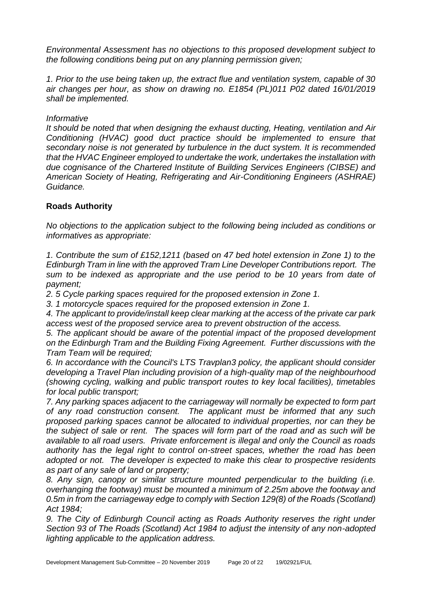*Environmental Assessment has no objections to this proposed development subject to the following conditions being put on any planning permission given;*

*1. Prior to the use being taken up, the extract flue and ventilation system, capable of 30 air changes per hour, as show on drawing no. E1854 (PL)011 P02 dated 16/01/2019 shall be implemented.*

#### *Informative*

*It should be noted that when designing the exhaust ducting, Heating, ventilation and Air Conditioning (HVAC) good duct practice should be implemented to ensure that secondary noise is not generated by turbulence in the duct system. It is recommended that the HVAC Engineer employed to undertake the work, undertakes the installation with due cognisance of the Chartered Institute of Building Services Engineers (CIBSE) and American Society of Heating, Refrigerating and Air-Conditioning Engineers (ASHRAE) Guidance.*

#### **Roads Authority**

*No objections to the application subject to the following being included as conditions or informatives as appropriate:*

*1. Contribute the sum of £152,1211 (based on 47 bed hotel extension in Zone 1) to the Edinburgh Tram in line with the approved Tram Line Developer Contributions report. The sum to be indexed as appropriate and the use period to be 10 years from date of payment;*

*2. 5 Cycle parking spaces required for the proposed extension in Zone 1.*

*3. 1 motorcycle spaces required for the proposed extension in Zone 1.*

*4. The applicant to provide/install keep clear marking at the access of the private car park access west of the proposed service area to prevent obstruction of the access.*

*5. The applicant should be aware of the potential impact of the proposed development on the Edinburgh Tram and the Building Fixing Agreement. Further discussions with the Tram Team will be required;*

*6. In accordance with the Council's LTS Travplan3 policy, the applicant should consider developing a Travel Plan including provision of a high-quality map of the neighbourhood (showing cycling, walking and public transport routes to key local facilities), timetables for local public transport;*

*7. Any parking spaces adjacent to the carriageway will normally be expected to form part of any road construction consent. The applicant must be informed that any such proposed parking spaces cannot be allocated to individual properties, nor can they be the subject of sale or rent. The spaces will form part of the road and as such will be available to all road users. Private enforcement is illegal and only the Council as roads authority has the legal right to control on-street spaces, whether the road has been adopted or not. The developer is expected to make this clear to prospective residents as part of any sale of land or property;*

*8. Any sign, canopy or similar structure mounted perpendicular to the building (i.e. overhanging the footway) must be mounted a minimum of 2.25m above the footway and 0.5m in from the carriageway edge to comply with Section 129(8) of the Roads (Scotland) Act 1984;*

9. The City of Edinburgh Council acting as Roads Authority reserves the right under *Section 93 of The Roads (Scotland) Act 1984 to adjust the intensity of any non-adopted lighting applicable to the application address.*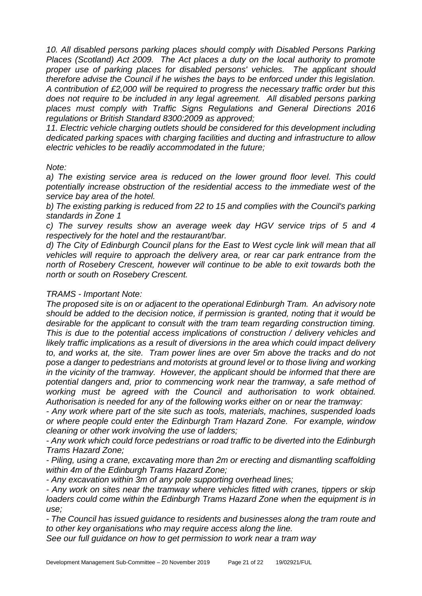10. All disabled persons parking places should comply with Disabled Persons Parking *Places (Scotland) Act 2009. The Act places a duty on the local authority to promote proper use of parking places for disabled persons' vehicles. The applicant should therefore advise the Council if he wishes the bays to be enforced under this legislation. A contribution of £2,000 will be required to progress the necessary traffic order but this does not require to be included in any legal agreement. All disabled persons parking places must comply with Traffic Signs Regulations and General Directions 2016 regulations or British Standard 8300:2009 as approved;*

*11. Electric vehicle charging outlets should be considered for this development including dedicated parking spaces with charging facilities and ducting and infrastructure to allow electric vehicles to be readily accommodated in the future;*

#### *Note:*

a) The existing service area is reduced on the lower ground floor level. This could *potentially increase obstruction of the residential access to the immediate west of the service bay area of the hotel.*

*b) The existing parking is reduced from 22 to 15 and complies with the Council's parking standards in Zone 1*

*c) The survey results show an average week day HGV service trips of 5 and 4 respectively for the hotel and the restaurant/bar.*

*d) The City of Edinburgh Council plans for the East to West cycle link will mean that all vehicles will require to approach the delivery area, or rear car park entrance from the north of Rosebery Crescent, however will continue to be able to exit towards both the north or south on Rosebery Crescent.*

#### *TRAMS - Important Note:*

*The proposed site is on or adjacent to the operational Edinburgh Tram. An advisory note should be added to the decision notice, if permission is granted, noting that it would be desirable for the applicant to consult with the tram team regarding construction timing. This is due to the potential access implications of construction / delivery vehicles and likely traffic implications as a result of diversions in the area which could impact delivery to, and works at, the site. Tram power lines are over 5m above the tracks and do not pose a danger to pedestrians and motorists at ground level or to those living and working in the vicinity of the tramway. However, the applicant should be informed that there are potential dangers and, prior to commencing work near the tramway, a safe method of working must be agreed with the Council and authorisation to work obtained. Authorisation is needed for any of the following works either on or near the tramway:*

*- Any work where part of the site such as tools, materials, machines, suspended loads or where people could enter the Edinburgh Tram Hazard Zone. For example, window cleaning or other work involving the use of ladders;*

*- Any work which could force pedestrians or road traffic to be diverted into the Edinburgh Trams Hazard Zone;*

*- Piling, using a crane, excavating more than 2m or erecting and dismantling scaffolding within 4m of the Edinburgh Trams Hazard Zone;*

*- Any excavation within 3m of any pole supporting overhead lines;*

*- Any work on sites near the tramway where vehicles fitted with cranes, tippers or skip loaders could come within the Edinburgh Trams Hazard Zone when the equipment is in use;*

*- The Council has issued guidance to residents and businesses along the tram route and to other key organisations who may require access along the line.* 

*See our full guidance on how to get permission to work near a tram way*